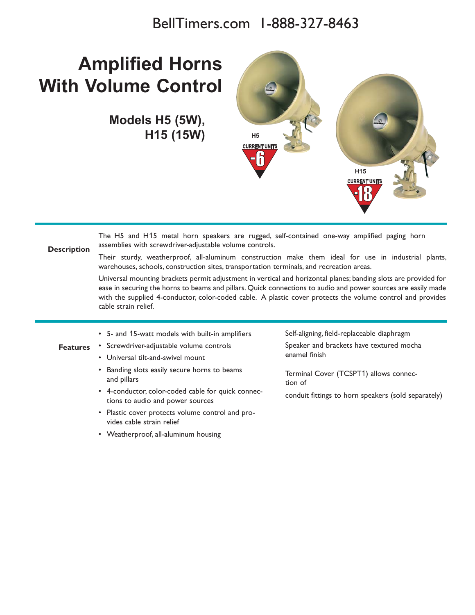## BellTimers.com 1-888-327-8463

## **Amplified Horns With Volume Control**

**Models H5 (5W), H15 (15W) H5**



| <b>Description</b> | The H5 and H15 metal horn speakers are rugged, self-contained one-way amplified paging horn<br>assemblies with screwdriver-adjustable volume controls.                                                                                                                                                                                                                 |                                                     |  |  |
|--------------------|------------------------------------------------------------------------------------------------------------------------------------------------------------------------------------------------------------------------------------------------------------------------------------------------------------------------------------------------------------------------|-----------------------------------------------------|--|--|
|                    | Their sturdy, weatherproof, all-aluminum construction make them ideal for use in industrial plants,<br>warehouses, schools, construction sites, transportation terminals, and recreation areas.                                                                                                                                                                        |                                                     |  |  |
|                    | Universal mounting brackets permit adjustment in vertical and horizontal planes; banding slots are provided for<br>ease in securing the horns to beams and pillars. Quick connections to audio and power sources are easily made<br>with the supplied 4-conductor, color-coded cable. A plastic cover protects the volume control and provides<br>cable strain relief. |                                                     |  |  |
|                    | • 5- and 15-watt models with built-in amplifiers                                                                                                                                                                                                                                                                                                                       | Self-aligning, field-replaceable diaphragm          |  |  |
| <b>Features</b>    | • Screwdriver-adjustable volume controls                                                                                                                                                                                                                                                                                                                               | Speaker and brackets have textured mocha            |  |  |
|                    | • Universal tilt-and-swivel mount                                                                                                                                                                                                                                                                                                                                      | enamel finish                                       |  |  |
|                    | • Banding slots easily secure horns to beams<br>and pillars                                                                                                                                                                                                                                                                                                            | Terminal Cover (TCSPT1) allows connec-<br>tion of   |  |  |
|                    | • 4-conductor, color-coded cable for quick connec-<br>tions to audio and power sources                                                                                                                                                                                                                                                                                 | conduit fittings to horn speakers (sold separately) |  |  |
|                    | • Plastic cover protects volume control and pro-<br>vides cable strain relief                                                                                                                                                                                                                                                                                          |                                                     |  |  |
|                    | • Weatherproof, all-aluminum housing                                                                                                                                                                                                                                                                                                                                   |                                                     |  |  |